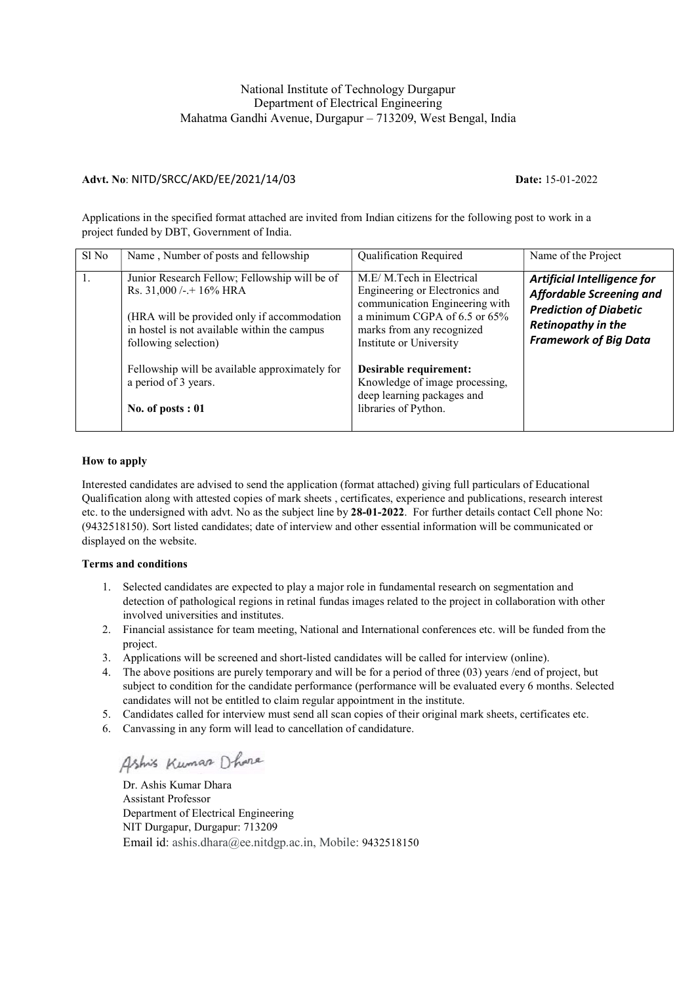# National Institute of Technology Durgapur Department of Electrical Engineering Mahatma Gandhi Avenue, Durgapur – 713209, West Bengal, India

### Advt. No: NITD/SRCC/AKD/EE/2021/14/03 Date: 15-01-2022

Applications in the specified format attached are invited from Indian citizens for the following post to work in a project funded by DBT, Government of India.

| Sl No | Name, Number of posts and fellowship                                                                                                                                                                 | <b>Qualification Required</b>                                                                                                                                                        | Name of the Project                                                                                                                                   |  |
|-------|------------------------------------------------------------------------------------------------------------------------------------------------------------------------------------------------------|--------------------------------------------------------------------------------------------------------------------------------------------------------------------------------------|-------------------------------------------------------------------------------------------------------------------------------------------------------|--|
|       | Junior Research Fellow; Fellowship will be of<br>Rs. $31,000$ /-.+ $16\%$ HRA<br>(HRA will be provided only if accommodation<br>in hostel is not available within the campus<br>following selection) | M.E/M.Tech in Electrical<br>Engineering or Electronics and<br>communication Engineering with<br>a minimum CGPA of 6.5 or 65%<br>marks from any recognized<br>Institute or University | Artificial Intelligence for<br><b>Affordable Screening and</b><br><b>Prediction of Diabetic</b><br>Retinopathy in the<br><b>Framework of Big Data</b> |  |
|       | Fellowship will be available approximately for<br>a period of 3 years.<br>No. of posts $: 01$                                                                                                        | Desirable requirement:<br>Knowledge of image processing,<br>deep learning packages and<br>libraries of Python.                                                                       |                                                                                                                                                       |  |

#### How to apply

Interested candidates are advised to send the application (format attached) giving full particulars of Educational Qualification along with attested copies of mark sheets , certificates, experience and publications, research interest etc. to the undersigned with advt. No as the subject line by 28-01-2022. For further details contact Cell phone No: (9432518150). Sort listed candidates; date of interview and other essential information will be communicated or displayed on the website.

#### Terms and conditions

- 1. Selected candidates are expected to play a major role in fundamental research on segmentation and detection of pathological regions in retinal fundas images related to the project in collaboration with other involved universities and institutes.
- 2. Financial assistance for team meeting, National and International conferences etc. will be funded from the project.
- 3. Applications will be screened and short-listed candidates will be called for interview (online).
- 4. The above positions are purely temporary and will be for a period of three (03) years /end of project, but subject to condition for the candidate performance (performance will be evaluated every 6 months. Selected candidates will not be entitled to claim regular appointment in the institute.
- 5. Candidates called for interview must send all scan copies of their original mark sheets, certificates etc.
- 6. Canvassing in any form will lead to cancellation of candidature.

Ashis Kumar Dhara

Dr. Ashis Kumar Dhara Assistant Professor Department of Electrical Engineering NIT Durgapur, Durgapur: 713209 Email id: ashis.dhara@ee.nitdgp.ac.in, Mobile: 9432518150